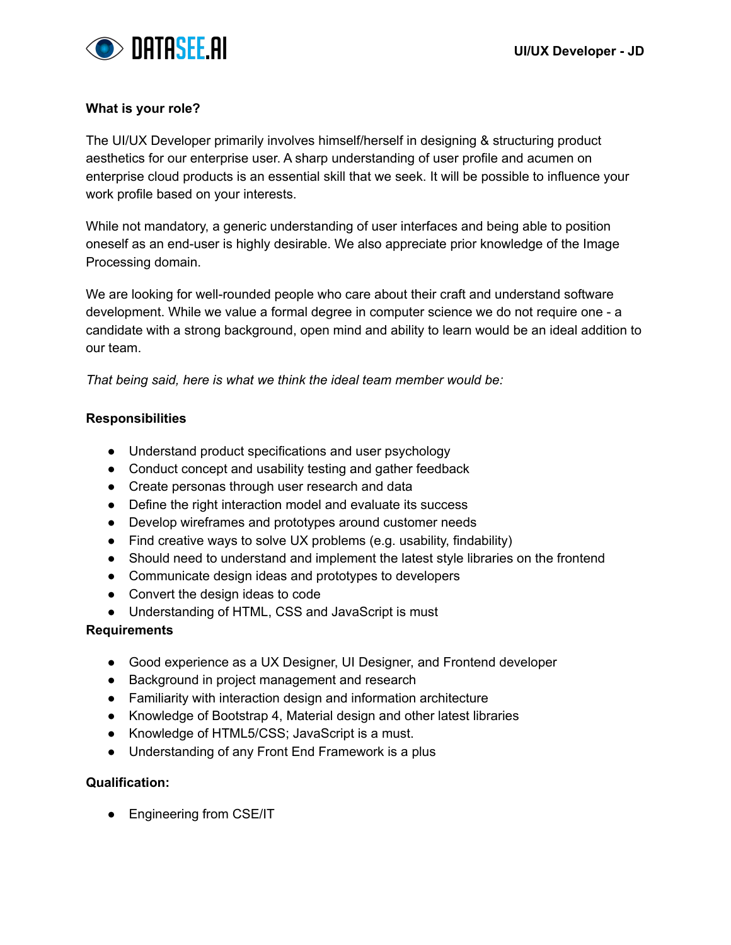

### **What is your role?**

The UI/UX Developer primarily involves himself/herself in designing & structuring product aesthetics for our enterprise user. A sharp understanding of user profile and acumen on enterprise cloud products is an essential skill that we seek. It will be possible to influence your work profile based on your interests.

While not mandatory, a generic understanding of user interfaces and being able to position oneself as an end-user is highly desirable. We also appreciate prior knowledge of the Image Processing domain.

We are looking for well-rounded people who care about their craft and understand software development. While we value a formal degree in computer science we do not require one - a candidate with a strong background, open mind and ability to learn would be an ideal addition to our team.

*That being said, here is what we think the ideal team member would be:*

#### **Responsibilities**

- Understand product specifications and user psychology
- Conduct concept and usability testing and gather feedback
- Create personas through user research and data
- Define the right interaction model and evaluate its success
- Develop wireframes and prototypes around customer needs
- Find creative ways to solve UX problems (e.g. usability, findability)
- Should need to understand and implement the latest style libraries on the frontend
- Communicate design ideas and prototypes to developers
- Convert the design ideas to code
- Understanding of HTML, CSS and JavaScript is must

#### **Requirements**

- Good experience as a UX Designer, UI Designer, and Frontend developer
- Background in project management and research
- Familiarity with interaction design and information architecture
- Knowledge of Bootstrap 4, Material design and other latest libraries
- Knowledge of HTML5/CSS; JavaScript is a must.
- Understanding of any Front End Framework is a plus

## **Qualification:**

• Engineering from CSE/IT